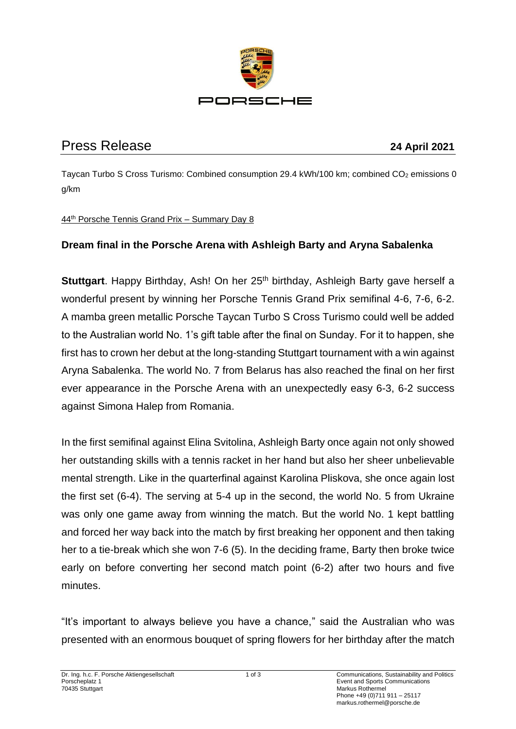

## Press Release **24 April 2021**

Taycan Turbo S Cross Turismo: Combined consumption 29.4 kWh/100 km; combined CO<sub>2</sub> emissions 0 g/km

## 44th Porsche Tennis Grand Prix – Summary Day 8

## **Dream final in the Porsche Arena with Ashleigh Barty and Aryna Sabalenka**

**Stuttgart.** Happy Birthday, Ash! On her 25<sup>th</sup> birthday, Ashleigh Barty gave herself a wonderful present by winning her Porsche Tennis Grand Prix semifinal 4-6, 7-6, 6-2. A mamba green metallic Porsche Taycan Turbo S Cross Turismo could well be added to the Australian world No. 1's gift table after the final on Sunday. For it to happen, she first has to crown her debut at the long-standing Stuttgart tournament with a win against Aryna Sabalenka. The world No. 7 from Belarus has also reached the final on her first ever appearance in the Porsche Arena with an unexpectedly easy 6-3, 6-2 success against Simona Halep from Romania.

In the first semifinal against Elina Svitolina, Ashleigh Barty once again not only showed her outstanding skills with a tennis racket in her hand but also her sheer unbelievable mental strength. Like in the quarterfinal against Karolina Pliskova, she once again lost the first set (6-4). The serving at 5-4 up in the second, the world No. 5 from Ukraine was only one game away from winning the match. But the world No. 1 kept battling and forced her way back into the match by first breaking her opponent and then taking her to a tie-break which she won 7-6 (5). In the deciding frame, Barty then broke twice early on before converting her second match point (6-2) after two hours and five minutes.

"It's important to always believe you have a chance," said the Australian who was presented with an enormous bouquet of spring flowers for her birthday after the match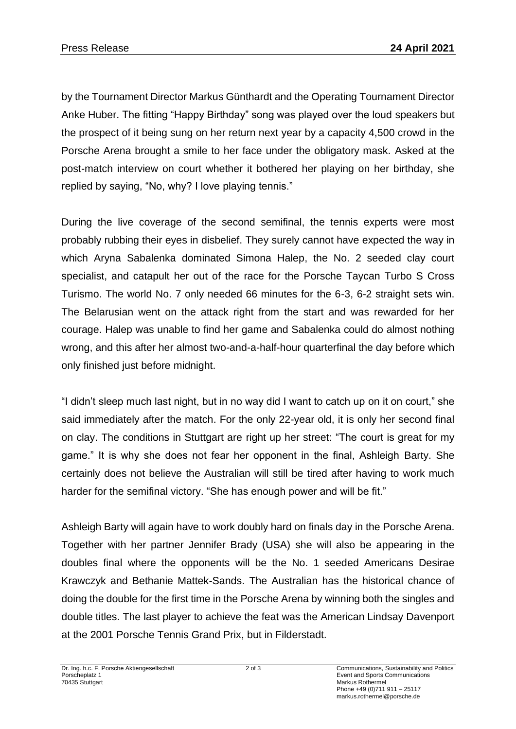by the Tournament Director Markus Günthardt and the Operating Tournament Director Anke Huber. The fitting "Happy Birthday" song was played over the loud speakers but the prospect of it being sung on her return next year by a capacity 4,500 crowd in the Porsche Arena brought a smile to her face under the obligatory mask. Asked at the post-match interview on court whether it bothered her playing on her birthday, she replied by saying, "No, why? I love playing tennis."

During the live coverage of the second semifinal, the tennis experts were most probably rubbing their eyes in disbelief. They surely cannot have expected the way in which Aryna Sabalenka dominated Simona Halep, the No. 2 seeded clay court specialist, and catapult her out of the race for the Porsche Taycan Turbo S Cross Turismo. The world No. 7 only needed 66 minutes for the 6-3, 6-2 straight sets win. The Belarusian went on the attack right from the start and was rewarded for her courage. Halep was unable to find her game and Sabalenka could do almost nothing wrong, and this after her almost two-and-a-half-hour quarterfinal the day before which only finished just before midnight.

"I didn't sleep much last night, but in no way did I want to catch up on it on court," she said immediately after the match. For the only 22-year old, it is only her second final on clay. The conditions in Stuttgart are right up her street: "The court is great for my game." It is why she does not fear her opponent in the final, Ashleigh Barty. She certainly does not believe the Australian will still be tired after having to work much harder for the semifinal victory. "She has enough power and will be fit."

Ashleigh Barty will again have to work doubly hard on finals day in the Porsche Arena. Together with her partner Jennifer Brady (USA) she will also be appearing in the doubles final where the opponents will be the No. 1 seeded Americans Desirae Krawczyk and Bethanie Mattek-Sands. The Australian has the historical chance of doing the double for the first time in the Porsche Arena by winning both the singles and double titles. The last player to achieve the feat was the American Lindsay Davenport at the 2001 Porsche Tennis Grand Prix, but in Filderstadt.